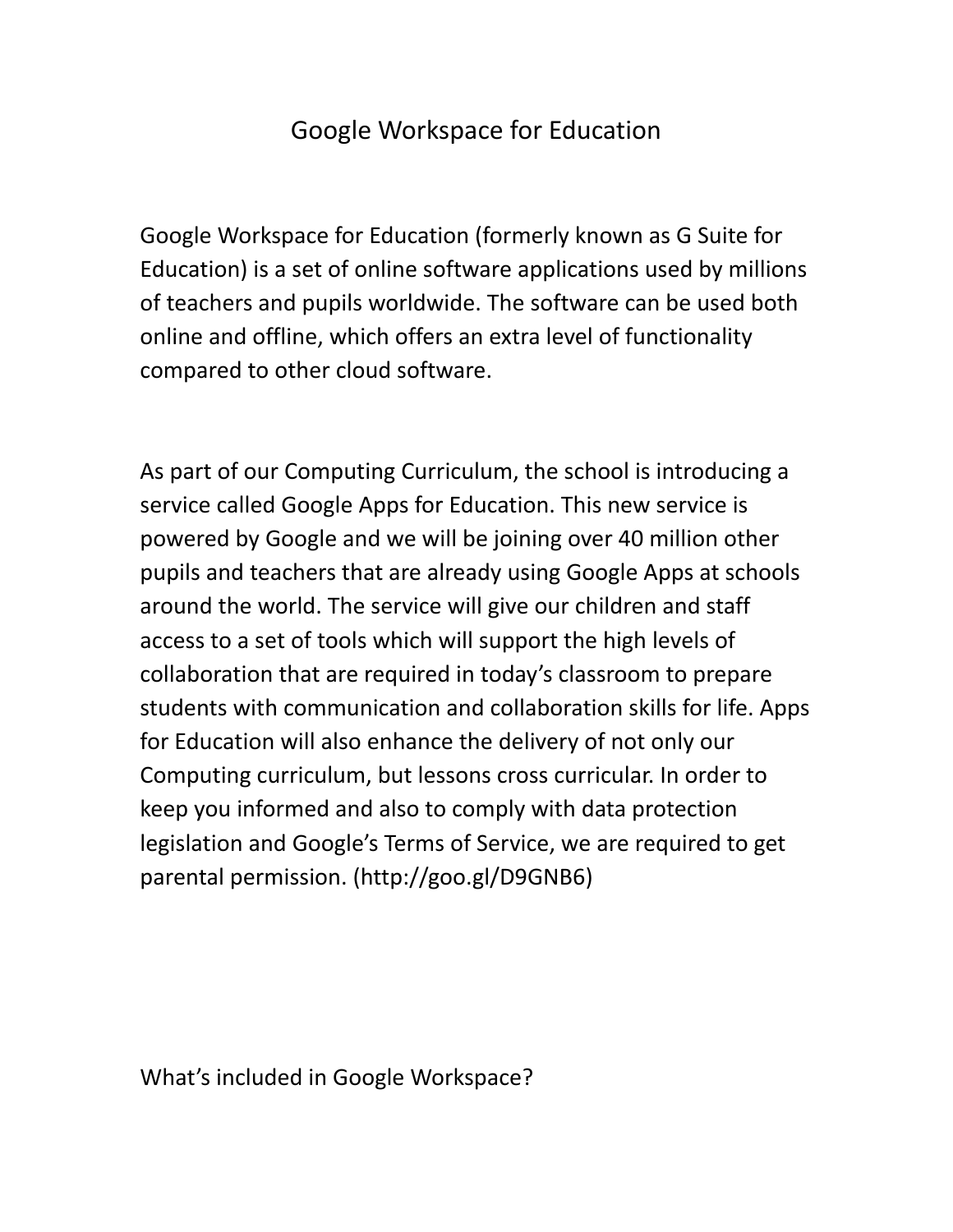## Google Workspace for Education

Google Workspace for Education (formerly known as G Suite for Education) is a set of online software applications used by millions of teachers and pupils worldwide. The software can be used both online and offline, which offers an extra level of functionality compared to other cloud software.

As part of our Computing Curriculum, the school is introducing a service called Google Apps for Education. This new service is powered by Google and we will be joining over 40 million other pupils and teachers that are already using Google Apps at schools around the world. The service will give our children and staff access to a set of tools which will support the high levels of collaboration that are required in today's classroom to prepare students with communication and collaboration skills for life. Apps for Education will also enhance the delivery of not only our Computing curriculum, but lessons cross curricular. In order to keep you informed and also to comply with data protection legislation and Google's Terms of Service, we are required to get parental permission. (<http://goo.gl/D9GNB6>)

What's included in Google Workspace?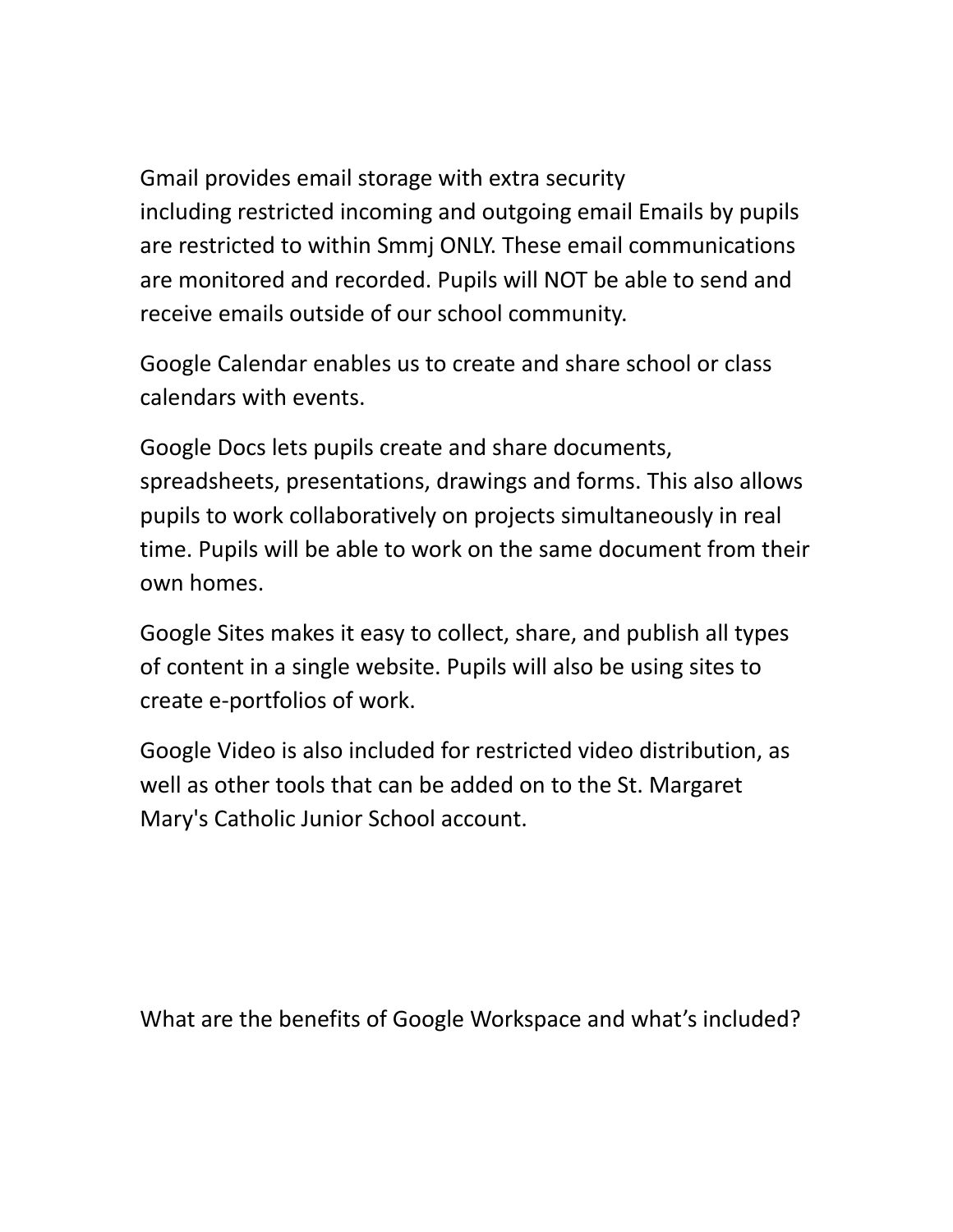Gmail provides email storage with extra security including restricted incoming and outgoing email Emails by pupils are restricted to within Smmj ONLY. These email communications are monitored and recorded. Pupils will NOT be able to send and receive emails outside of our school community.

Google Calendar enables us to create and share school or class calendars with events.

Google Docs lets pupils create and share documents, spreadsheets, presentations, drawings and forms. This also allows pupils to work collaboratively on projects simultaneously in real time. Pupils will be able to work on the same document from their own homes.

Google Sites makes it easy to collect, share, and publish all types of content in a single website. Pupils will also be using sites to create e-portfolios of work.

Google Video is also included for restricted video distribution, as well as other tools that can be added on to the St. Margaret Mary's Catholic Junior School account.

What are the benefits of Google Workspace and what's included?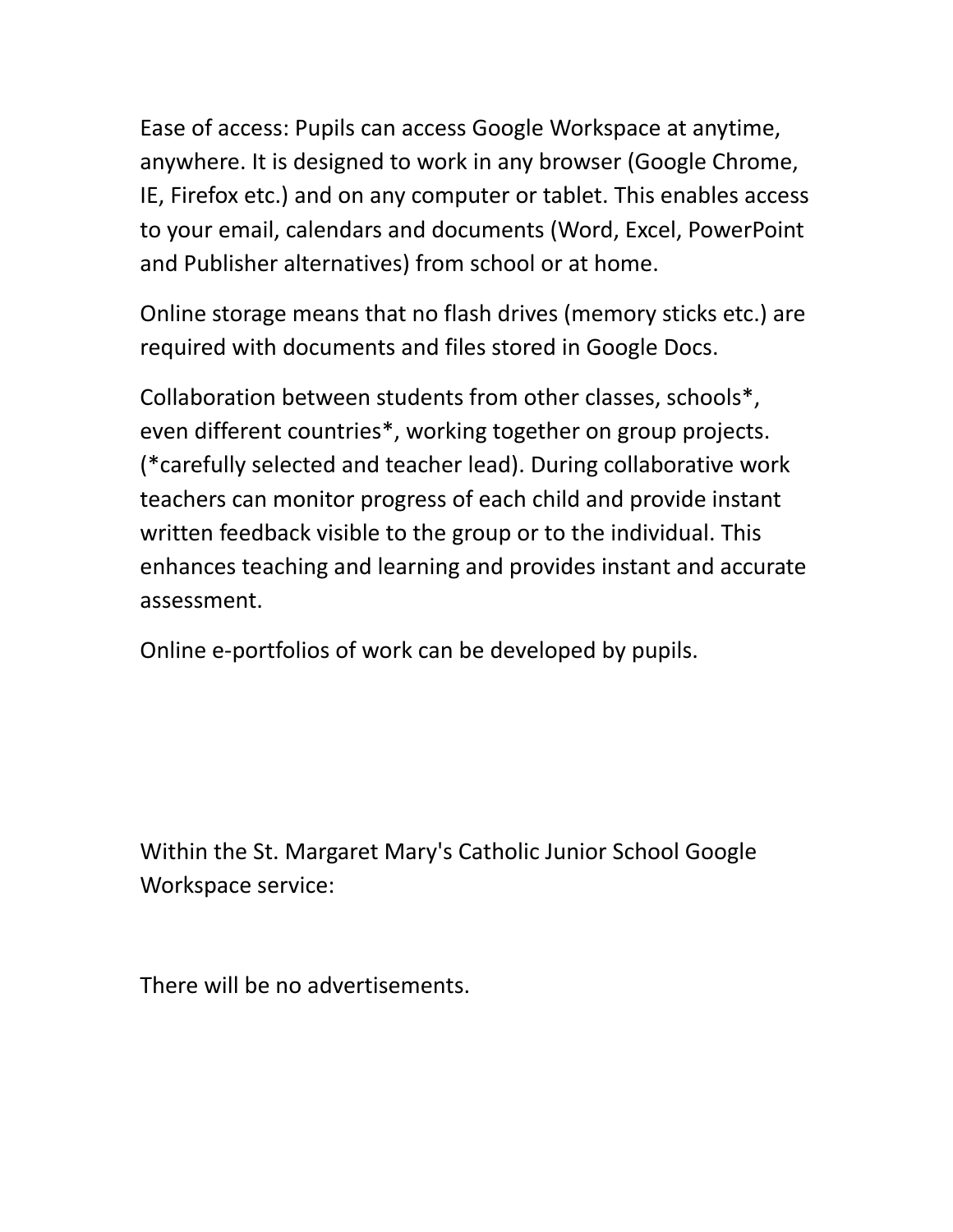Ease of access: Pupils can access Google Workspace at anytime, anywhere. It is designed to work in any browser (Google Chrome, IE, Firefox etc.) and on any computer or tablet. This enables access to your email, calendars and documents (Word, Excel, PowerPoint and Publisher alternatives) from school or at home.

Online storage means that no flash drives (memory sticks etc.) are required with documents and files stored in Google Docs.

Collaboration between students from other classes, schools\*, even different countries\*, working together on group projects. (\*carefully selected and teacher lead). During collaborative work teachers can monitor progress of each child and provide instant written feedback visible to the group or to the individual. This enhances teaching and learning and provides instant and accurate assessment.

Online e-portfolios of work can be developed by pupils.

Within the St. Margaret Mary's Catholic Junior School Google Workspace service:

There will be no advertisements.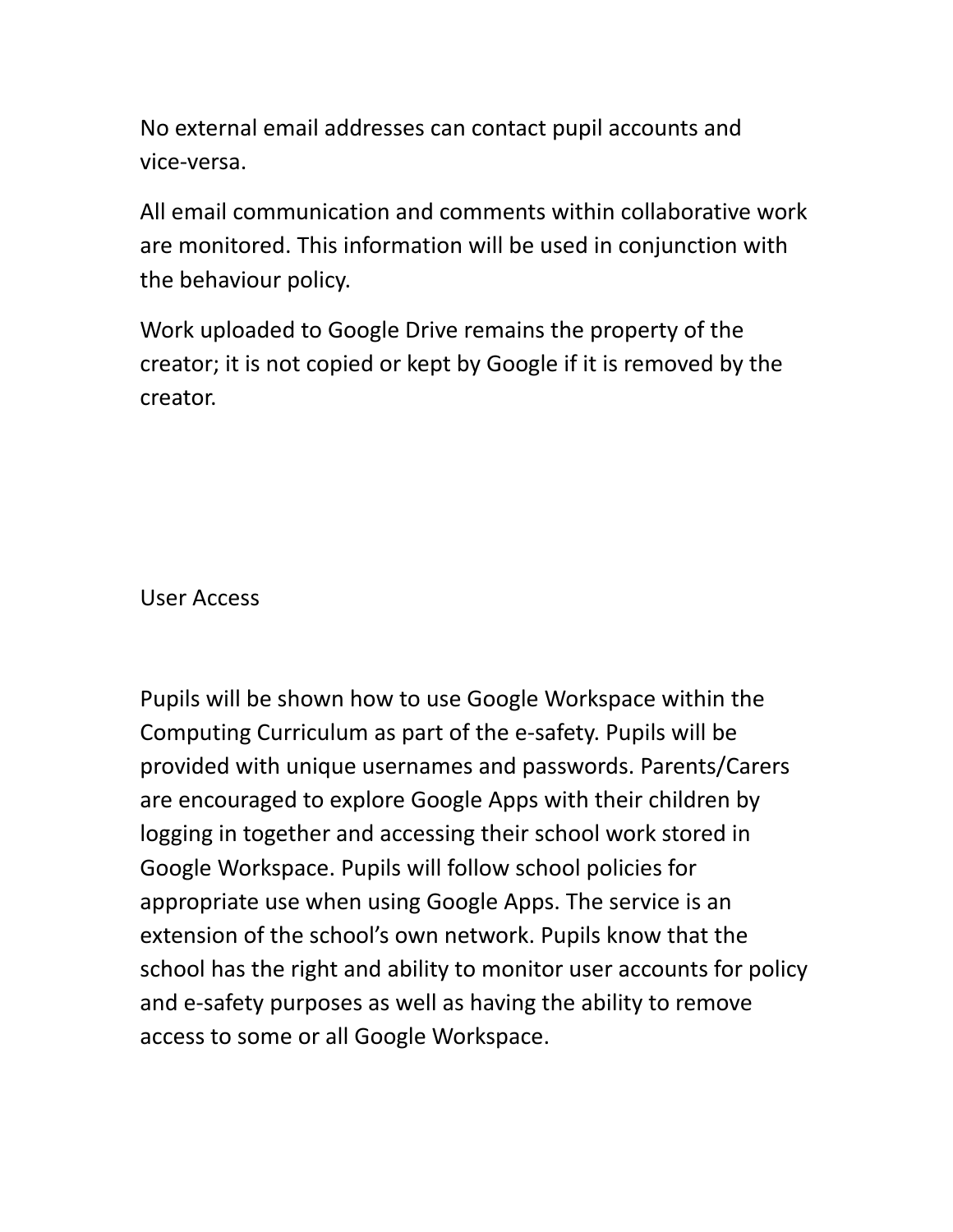No external email addresses can contact pupil accounts and vice-versa.

All email communication and comments within collaborative work are monitored. This information will be used in conjunction with the behaviour policy.

Work uploaded to Google Drive remains the property of the creator; it is not copied or kept by Google if it is removed by the creator.

User Access

Pupils will be shown how to use Google Workspace within the Computing Curriculum as part of the e-safety. Pupils will be provided with unique usernames and passwords. Parents/Carers are encouraged to explore Google Apps with their children by logging in together and accessing their school work stored in Google Workspace. Pupils will follow school policies for appropriate use when using Google Apps. The service is an extension of the school's own network. Pupils know that the school has the right and ability to monitor user accounts for policy and e-safety purposes as well as having the ability to remove access to some or all Google Workspace.